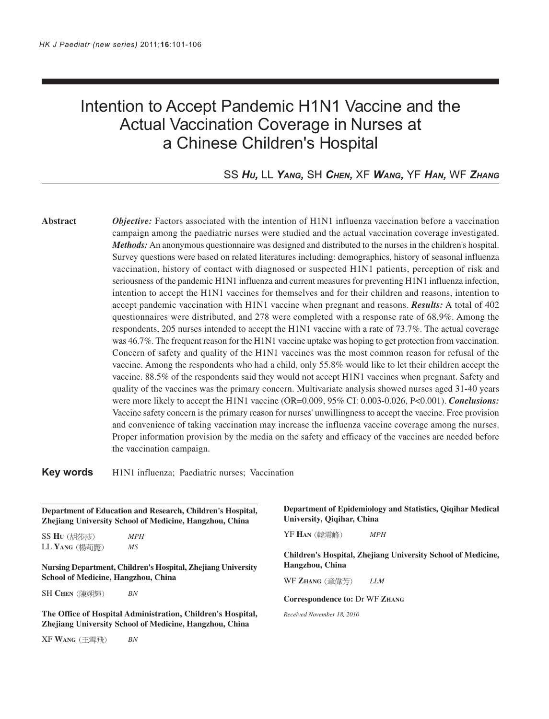# Intention to Accept Pandemic H1N1 Vaccine and the Actual Vaccination Coverage in Nurses at a Chinese Children's Hospital

# SS *HU,* LL *YANG,* SH *CHEN,* XF *WANG,* YF *HAN,* WF *ZHANG*

**Abstract** *Objective:* Factors associated with the intention of H1N1 influenza vaccination before a vaccination campaign among the paediatric nurses were studied and the actual vaccination coverage investigated. *Methods:* An anonymous questionnaire was designed and distributed to the nurses in the children's hospital. Survey questions were based on related literatures including: demographics, history of seasonal influenza vaccination, history of contact with diagnosed or suspected H1N1 patients, perception of risk and seriousness of the pandemic H1N1 influenza and current measures for preventing H1N1 influenza infection, intention to accept the H1N1 vaccines for themselves and for their children and reasons, intention to accept pandemic vaccination with H1N1 vaccine when pregnant and reasons. *Results:* A total of 402 questionnaires were distributed, and 278 were completed with a response rate of 68.9%. Among the respondents, 205 nurses intended to accept the H1N1 vaccine with a rate of 73.7%. The actual coverage was 46.7%. The frequent reason for the H1N1 vaccine uptake was hoping to get protection from vaccination. Concern of safety and quality of the H1N1 vaccines was the most common reason for refusal of the vaccine. Among the respondents who had a child, only 55.8% would like to let their children accept the vaccine. 88.5% of the respondents said they would not accept H1N1 vaccines when pregnant. Safety and quality of the vaccines was the primary concern. Multivariate analysis showed nurses aged 31-40 years were more likely to accept the H1N1 vaccine (OR=0.009, 95% CI: 0.003-0.026, P<0.001). *Conclusions:* Vaccine safety concern is the primary reason for nurses' unwillingness to accept the vaccine. Free provision and convenience of taking vaccination may increase the influenza vaccine coverage among the nurses. Proper information provision by the media on the safety and efficacy of the vaccines are needed before the vaccination campaign.

**Key words** H1N1 influenza; Paediatric nurses; Vaccination

**Department of Education and Research, Children's Hospital, Zhejiang University School of Medicine, Hangzhou, China**

SS **HU** *MPH* LL **YANG** *MS*

**Nursing Department, Children's Hospital, Zhejiang University School of Medicine, Hangzhou, China**

SH **CHEN** *BN*

**The Office of Hospital Administration, Children's Hospital, Zhejiang University School of Medicine, Hangzhou, China**

XF **WANG** *BN*

**Department of Epidemiology and Statistics, Qiqihar Medical University, Qiqihar, China**

YF **HAN** *MPH*

**Children's Hospital, Zhejiang University School of Medicine, Hangzhou, China**

WF **ZHANG** *LLM*

**Correspondence to:** Dr WF **ZHANG**

*Received November 18, 2010*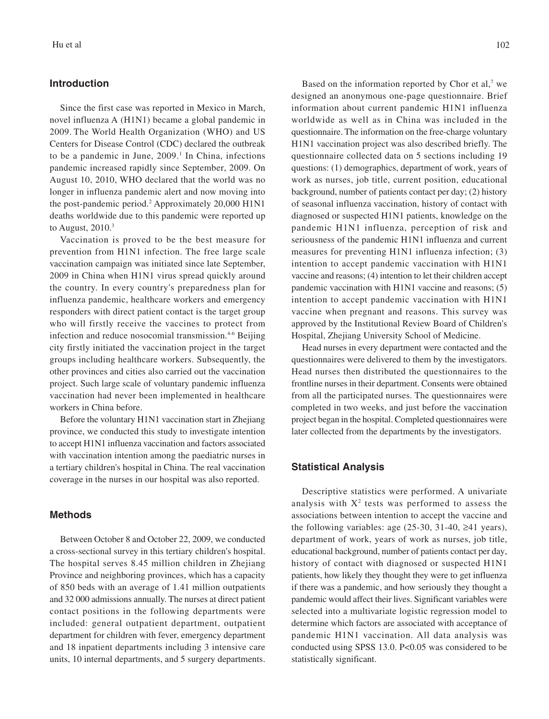#### **Introduction**

Since the first case was reported in Mexico in March, novel influenza A (H1N1) became a global pandemic in 2009. The World Health Organization (WHO) and US Centers for Disease Control (CDC) declared the outbreak to be a pandemic in June, 2009.<sup>1</sup> In China, infections pandemic increased rapidly since September, 2009. On August 10, 2010, WHO declared that the world was no longer in influenza pandemic alert and now moving into the post-pandemic period.<sup>2</sup> Approximately 20,000 H1N1 deaths worldwide due to this pandemic were reported up to August, 2010.3

Vaccination is proved to be the best measure for prevention from H1N1 infection. The free large scale vaccination campaign was initiated since late September, 2009 in China when H1N1 virus spread quickly around the country. In every country's preparedness plan for influenza pandemic, healthcare workers and emergency responders with direct patient contact is the target group who will firstly receive the vaccines to protect from infection and reduce nosocomial transmission.<sup>4-6</sup> Beijing city firstly initiated the vaccination project in the target groups including healthcare workers. Subsequently, the other provinces and cities also carried out the vaccination project. Such large scale of voluntary pandemic influenza vaccination had never been implemented in healthcare workers in China before.

Before the voluntary H1N1 vaccination start in Zhejiang province, we conducted this study to investigate intention to accept H1N1 influenza vaccination and factors associated with vaccination intention among the paediatric nurses in a tertiary children's hospital in China. The real vaccination coverage in the nurses in our hospital was also reported.

### **Methods**

Between October 8 and October 22, 2009, we conducted a cross-sectional survey in this tertiary children's hospital. The hospital serves 8.45 million children in Zhejiang Province and neighboring provinces, which has a capacity of 850 beds with an average of 1.41 million outpatients and 32 000 admissions annually. The nurses at direct patient contact positions in the following departments were included: general outpatient department, outpatient department for children with fever, emergency department and 18 inpatient departments including 3 intensive care units, 10 internal departments, and 5 surgery departments.

Based on the information reported by Chor et al, $<sup>7</sup>$  we</sup> designed an anonymous one-page questionnaire. Brief information about current pandemic H1N1 influenza worldwide as well as in China was included in the questionnaire. The information on the free-charge voluntary H1N1 vaccination project was also described briefly. The questionnaire collected data on 5 sections including 19 questions: (1) demographics, department of work, years of work as nurses, job title, current position, educational background, number of patients contact per day; (2) history of seasonal influenza vaccination, history of contact with diagnosed or suspected H1N1 patients, knowledge on the pandemic H1N1 influenza, perception of risk and seriousness of the pandemic H1N1 influenza and current measures for preventing H1N1 influenza infection; (3) intention to accept pandemic vaccination with H1N1 vaccine and reasons; (4) intention to let their children accept pandemic vaccination with H1N1 vaccine and reasons; (5) intention to accept pandemic vaccination with H1N1 vaccine when pregnant and reasons. This survey was approved by the Institutional Review Board of Children's Hospital, Zhejiang University School of Medicine.

Head nurses in every department were contacted and the questionnaires were delivered to them by the investigators. Head nurses then distributed the questionnaires to the frontline nurses in their department. Consents were obtained from all the participated nurses. The questionnaires were completed in two weeks, and just before the vaccination project began in the hospital. Completed questionnaires were later collected from the departments by the investigators.

## **Statistical Analysis**

Descriptive statistics were performed. A univariate analysis with  $X^2$  tests was performed to assess the associations between intention to accept the vaccine and the following variables: age  $(25-30, 31-40, 241$  years), department of work, years of work as nurses, job title, educational background, number of patients contact per day, history of contact with diagnosed or suspected H1N1 patients, how likely they thought they were to get influenza if there was a pandemic, and how seriously they thought a pandemic would affect their lives. Significant variables were selected into a multivariate logistic regression model to determine which factors are associated with acceptance of pandemic H1N1 vaccination. All data analysis was conducted using SPSS 13.0. P<0.05 was considered to be statistically significant.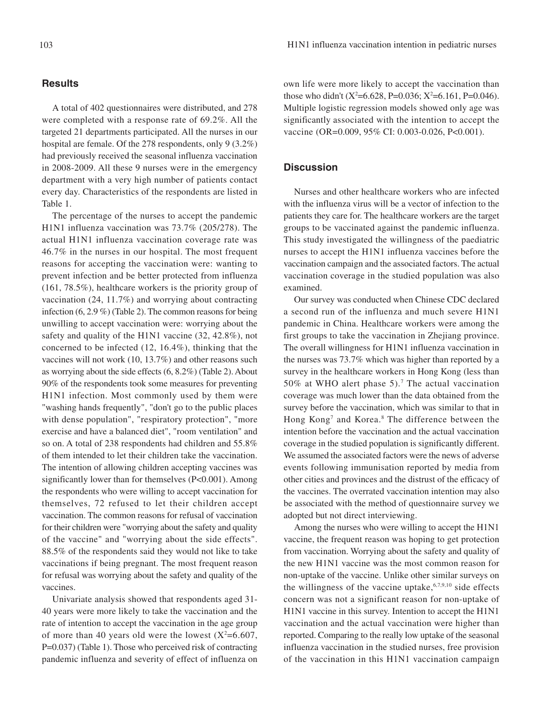#### **Results**

A total of 402 questionnaires were distributed, and 278 were completed with a response rate of 69.2%. All the targeted 21 departments participated. All the nurses in our hospital are female. Of the 278 respondents, only 9 (3.2%) had previously received the seasonal influenza vaccination in 2008-2009. All these 9 nurses were in the emergency department with a very high number of patients contact every day. Characteristics of the respondents are listed in Table 1.

The percentage of the nurses to accept the pandemic H1N1 influenza vaccination was 73.7% (205/278). The actual H1N1 influenza vaccination coverage rate was 46.7% in the nurses in our hospital. The most frequent reasons for accepting the vaccination were: wanting to prevent infection and be better protected from influenza (161, 78.5%), healthcare workers is the priority group of vaccination (24, 11.7%) and worrying about contracting infection (6, 2.9 %) (Table 2). The common reasons for being unwilling to accept vaccination were: worrying about the safety and quality of the H1N1 vaccine (32, 42.8%), not concerned to be infected (12, 16.4%), thinking that the vaccines will not work (10, 13.7%) and other reasons such as worrying about the side effects (6, 8.2%) (Table 2). About 90% of the respondents took some measures for preventing H1N1 infection. Most commonly used by them were "washing hands frequently", "don't go to the public places with dense population", "respiratory protection", "more exercise and have a balanced diet", "room ventilation" and so on. A total of 238 respondents had children and 55.8% of them intended to let their children take the vaccination. The intention of allowing children accepting vaccines was significantly lower than for themselves (P<0.001). Among the respondents who were willing to accept vaccination for themselves, 72 refused to let their children accept vaccination. The common reasons for refusal of vaccination for their children were "worrying about the safety and quality of the vaccine" and "worrying about the side effects". 88.5% of the respondents said they would not like to take vaccinations if being pregnant. The most frequent reason for refusal was worrying about the safety and quality of the vaccines.

Univariate analysis showed that respondents aged 31- 40 years were more likely to take the vaccination and the rate of intention to accept the vaccination in the age group of more than 40 years old were the lowest  $(X^2=6.607,$ P=0.037) (Table 1). Those who perceived risk of contracting pandemic influenza and severity of effect of influenza on own life were more likely to accept the vaccination than those who didn't ( $X^2$ =6.628, P=0.036;  $X^2$ =6.161, P=0.046). Multiple logistic regression models showed only age was significantly associated with the intention to accept the vaccine (OR=0.009, 95% CI: 0.003-0.026, P<0.001).

# **Discussion**

Nurses and other healthcare workers who are infected with the influenza virus will be a vector of infection to the patients they care for. The healthcare workers are the target groups to be vaccinated against the pandemic influenza. This study investigated the willingness of the paediatric nurses to accept the H1N1 influenza vaccines before the vaccination campaign and the associated factors. The actual vaccination coverage in the studied population was also examined.

Our survey was conducted when Chinese CDC declared a second run of the influenza and much severe H1N1 pandemic in China. Healthcare workers were among the first groups to take the vaccination in Zhejiang province. The overall willingness for H1N1 influenza vaccination in the nurses was 73.7% which was higher than reported by a survey in the healthcare workers in Hong Kong (less than 50% at WHO alert phase 5).7 The actual vaccination coverage was much lower than the data obtained from the survey before the vaccination, which was similar to that in Hong Kong<sup>7</sup> and Korea.<sup>8</sup> The difference between the intention before the vaccination and the actual vaccination coverage in the studied population is significantly different. We assumed the associated factors were the news of adverse events following immunisation reported by media from other cities and provinces and the distrust of the efficacy of the vaccines. The overrated vaccination intention may also be associated with the method of questionnaire survey we adopted but not direct interviewing.

Among the nurses who were willing to accept the H1N1 vaccine, the frequent reason was hoping to get protection from vaccination. Worrying about the safety and quality of the new H1N1 vaccine was the most common reason for non-uptake of the vaccine. Unlike other similar surveys on the willingness of the vaccine uptake, 6,7,9,10 side effects concern was not a significant reason for non-uptake of H1N1 vaccine in this survey. Intention to accept the H1N1 vaccination and the actual vaccination were higher than reported. Comparing to the really low uptake of the seasonal influenza vaccination in the studied nurses, free provision of the vaccination in this H1N1 vaccination campaign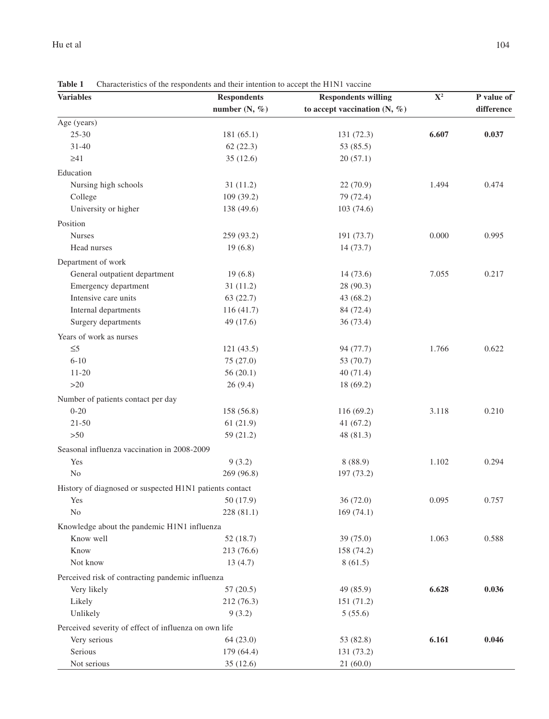| <b>Variables</b>                                        | <b>Respondents</b> | <b>Respondents willing</b>     | $\mathbf{X}^2$ | P value of |
|---------------------------------------------------------|--------------------|--------------------------------|----------------|------------|
|                                                         | number $(N, %)$    | to accept vaccination $(N, %)$ |                | difference |
| Age (years)                                             |                    |                                |                |            |
| $25 - 30$                                               | 181 (65.1)         | 131 (72.3)                     | 6.607          | 0.037      |
| $31 - 40$                                               | 62(22.3)           | 53 (85.5)                      |                |            |
| $\geq 41$                                               | 35(12.6)           | 20(57.1)                       |                |            |
| Education                                               |                    |                                |                |            |
| Nursing high schools                                    | 31(11.2)           | 22 (70.9)                      | 1.494          | 0.474      |
| College                                                 | 109 (39.2)         | 79 (72.4)                      |                |            |
| University or higher                                    | 138 (49.6)         | 103(74.6)                      |                |            |
| Position                                                |                    |                                |                |            |
| <b>Nurses</b>                                           | 259 (93.2)         | 191 (73.7)                     | 0.000          | 0.995      |
| Head nurses                                             | 19(6.8)            | 14(73.7)                       |                |            |
| Department of work                                      |                    |                                |                |            |
| General outpatient department                           | 19(6.8)            | 14(73.6)                       | 7.055          | 0.217      |
| Emergency department                                    | 31(11.2)           | 28 (90.3)                      |                |            |
| Intensive care units                                    | 63 (22.7)          | 43 (68.2)                      |                |            |
| Internal departments                                    | 116 (41.7)         | 84 (72.4)                      |                |            |
| Surgery departments                                     | 49 (17.6)          | 36 (73.4)                      |                |            |
| Years of work as nurses                                 |                    |                                |                |            |
| $\leq 5$                                                | 121(43.5)          | 94 (77.7)                      | 1.766          | 0.622      |
| $6 - 10$                                                | 75 (27.0)          |                                |                |            |
| $11 - 20$                                               | 56(20.1)           | 53 (70.7)<br>40(71.4)          |                |            |
| $>20$                                                   | 26(9.4)            | 18(69.2)                       |                |            |
|                                                         |                    |                                |                |            |
| Number of patients contact per day                      |                    |                                |                |            |
| $0 - 20$                                                | 158 (56.8)         | 116(69.2)                      | 3.118          | 0.210      |
| $21 - 50$                                               | 61(21.9)           | 41(67.2)                       |                |            |
| $>50$                                                   | 59 (21.2)          | 48 (81.3)                      |                |            |
| Seasonal influenza vaccination in 2008-2009             |                    |                                |                |            |
| Yes                                                     | 9(3.2)             | 8(88.9)                        | 1.102          | 0.294      |
| No                                                      | 269 (96.8)         | 197 (73.2)                     |                |            |
| History of diagnosed or suspected H1N1 patients contact |                    |                                |                |            |
| Yes                                                     | 50 (17.9)          | 36 (72.0)                      | 0.095          | 0.757      |
| N <sub>0</sub>                                          | 228(81.1)          | 169(74.1)                      |                |            |
| Knowledge about the pandemic H1N1 influenza             |                    |                                |                |            |
| Know well                                               | 52(18.7)           | 39 (75.0)                      | 1.063          | 0.588      |
| Know                                                    | 213 (76.6)         | 158 (74.2)                     |                |            |
| Not know                                                | 13(4.7)            | 8(61.5)                        |                |            |
| Perceived risk of contracting pandemic influenza        |                    |                                |                |            |
| Very likely                                             | 57(20.5)           | 49 (85.9)                      | 6.628          | 0.036      |
| Likely                                                  | 212 (76.3)         | 151 (71.2)                     |                |            |
| Unlikely                                                | 9(3.2)             | 5(55.6)                        |                |            |
| Perceived severity of effect of influenza on own life   |                    |                                |                |            |
| Very serious                                            | 64(23.0)           | 53 (82.8)                      | 6.161          | 0.046      |
| Serious                                                 | 179 (64.4)         | 131 (73.2)                     |                |            |
| Not serious                                             | 35 (12.6)          | 21(60.0)                       |                |            |

**Table 1** Characteristics of the respondents and their intention to accept the H1N1 vaccine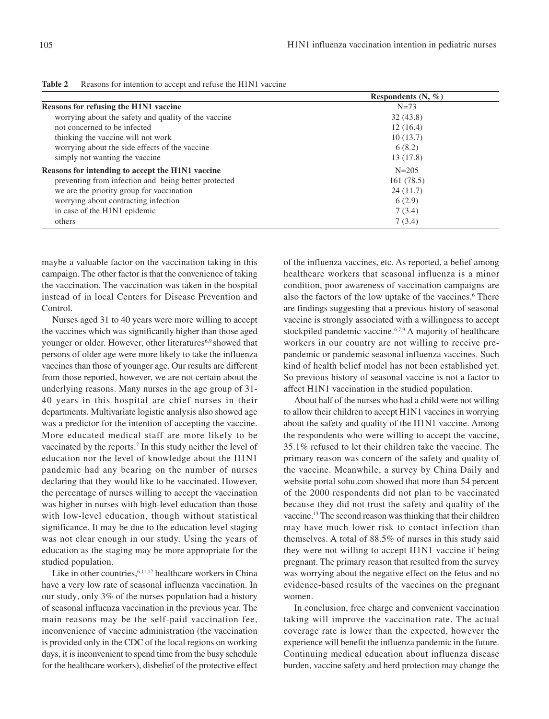|                                                      | Respondents $(N, \mathcal{C})$ |
|------------------------------------------------------|--------------------------------|
| Reasons for refusing the H1N1 vaccine                | $N=73$                         |
| worrying about the safety and quality of the vaccine | 32(43.8)                       |
| not concerned to be infected                         | 12(16.4)                       |
| thinking the vaccine will not work                   | 10(13.7)                       |
| worrying about the side effects of the vaccine       | 6(8.2)                         |
| simply not wanting the vaccine                       | 13(17.8)                       |
| Reasons for intending to accept the H1N1 vaccine     | $N = 205$                      |
| preventing from infection and being better protected | 161(78.5)                      |
| we are the priority group for vaccination            | 24(11.7)                       |
| worrying about contracting infection                 | 6(2.9)                         |
| in case of the H1N1 epidemic                         | 7(3.4)                         |
| others                                               | 7(3.4)                         |

| <b>Table 2</b><br>Reasons for intention to accept and refuse the H1N1 vaccine |  |
|-------------------------------------------------------------------------------|--|
|-------------------------------------------------------------------------------|--|

maybe a valuable factor on the vaccination taking in this campaign. The other factor is that the convenience of taking the vaccination. The vaccination was taken in the hospital instead of in local Centers for Disease Prevention and Control.

Nurses aged 31 to 40 years were more willing to accept the vaccines which was significantly higher than those aged younger or older. However, other literatures<sup>6,9</sup> showed that persons of older age were more likely to take the influenza vaccines than those of younger age. Our results are different from those reported, however, we are not certain about the underlying reasons. Many nurses in the age group of 31- 40 years in this hospital are chief nurses in their departments. Multivariate logistic analysis also showed age was a predictor for the intention of accepting the vaccine. More educated medical staff are more likely to be vaccinated by the reports.<sup>7</sup> In this study neither the level of education nor the level of knowledge about the H1N1 pandemic had any bearing on the number of nurses declaring that they would like to be vaccinated. However, the percentage of nurses willing to accept the vaccination was higher in nurses with high-level education than those with low-level education, though without statistical significance. It may be due to the education level staging was not clear enough in our study. Using the years of education as the staging may be more appropriate for the studied population.

Like in other countries, <sup>6,11,12</sup> healthcare workers in China have a very low rate of seasonal influenza vaccination. In our study, only 3% of the nurses population had a history of seasonal influenza vaccination in the previous year. The main reasons may be the self-paid vaccination fee, inconvenience of vaccine administration (the vaccination is provided only in the CDC of the local regions on working days, it is inconvenient to spend time from the busy schedule for the healthcare workers), disbelief of the protective effect

of the influenza vaccines, etc. As reported, a belief among healthcare workers that seasonal influenza is a minor condition, poor awareness of vaccination campaigns are also the factors of the low uptake of the vaccines.<sup>6</sup> There are findings suggesting that a previous history of seasonal vaccine is strongly associated with a willingness to accept stockpiled pandemic vaccine.6,7,9 A majority of healthcare workers in our country are not willing to receive prepandemic or pandemic seasonal influenza vaccines. Such kind of health belief model has not been established yet. So previous history of seasonal vaccine is not a factor to affect H1N1 vaccination in the studied population.

About half of the nurses who had a child were not willing to allow their children to accept H1N1 vaccines in worrying about the safety and quality of the H1N1 vaccine. Among the respondents who were willing to accept the vaccine, 35.1% refused to let their children take the vaccine. The primary reason was concern of the safety and quality of the vaccine. Meanwhile, a survey by China Daily and website portal sohu.com showed that more than 54 percent of the 2000 respondents did not plan to be vaccinated because they did not trust the safety and quality of the vaccine.13 The second reason was thinking that their children may have much lower risk to contact infection than themselves. A total of 88.5% of nurses in this study said they were not willing to accept H1N1 vaccine if being pregnant. The primary reason that resulted from the survey was worrying about the negative effect on the fetus and no evidence-based results of the vaccines on the pregnant women.

In conclusion, free charge and convenient vaccination taking will improve the vaccination rate. The actual coverage rate is lower than the expected, however the experience will benefit the influenza pandemic in the future. Continuing medical education about influenza disease burden, vaccine safety and herd protection may change the